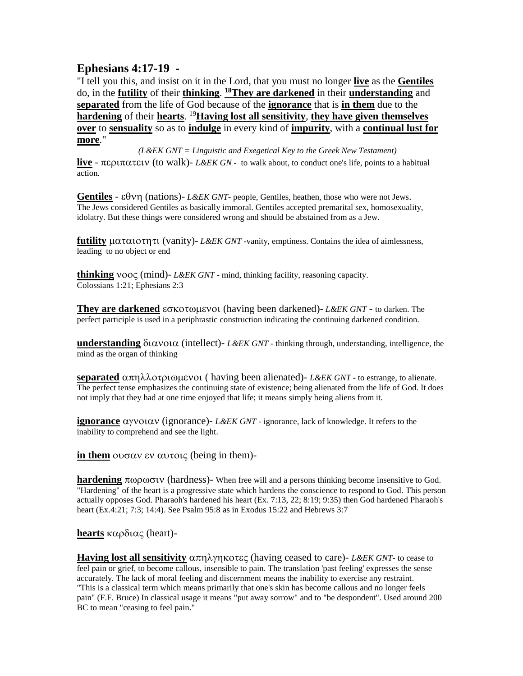## **Ephesians 4:17-19 -**

"I tell you this, and insist on it in the Lord, that you must no longer **live** as the **Gentiles** do, in the **futility** of their **thinking**. **<sup>18</sup>They are darkened** in their **understanding** and **separated** from the life of God because of the **ignorance** that is **in them** due to the **hardening** of their **hearts**. <sup>19</sup>**Having lost all sensitivity**, **they have given themselves over** to **sensuality** so as to **indulge** in every kind of **impurity**, with a **continual lust for more**."

*(L&EK GNT = Linguistic and Exegetical Key to the Greek New Testament)* **live** -  $\pi \epsilon$  *putately* (to walk)- *L&EK GN* - to walk about, to conduct one's life, points to a habitual action.

**Gentiles** -  $\epsilon \theta \nu \eta$  (nations)- *L&EK GNT*- people, Gentiles, heathen, those who were not Jews. The Jews considered Gentiles as basically immoral. Gentiles accepted premarital sex, homosexuality, idolatry. But these things were considered wrong and should be abstained from as a Jew.

**futility**  $\mu \alpha \tau \alpha \iota$  or  $\eta \tau \iota$  (vanity)- *L&EK GNT -vanity*, emptiness. Contains the idea of aimlessness, leading to no object or end

**thinking**  $\text{VOOC (mind)}$ - *L&EK GNT* - mind, thinking facility, reasoning capacity. Colossians 1:21; Ephesians 2:3

**They are darkened** εσκοτωμενοι (having been darkened)- *L&EK GNT* - to darken. The perfect participle is used in a periphrastic construction indicating the continuing darkened condition.

**understanding**  $\delta$ *i* $\alpha$ *voi* $\alpha$  (intellect)- *L&EK GNT -* thinking through, understanding, intelligence, the mind as the organ of thinking

**separated**  $\alpha \pi n \lambda \lambda$  or  $\beta$  lower  $\alpha$  ( having been alienated)- *L&EK GNT* - to estrange, to alienate. The perfect tense emphasizes the continuing state of existence; being alienated from the life of God. It does not imply that they had at one time enjoyed that life; it means simply being aliens from it.

**ignorance**  $\alpha$ yvot $\alpha$ v (ignorance)- *L&EK GNT -* ignorance, lack of knowledge. It refers to the inability to comprehend and see the light.

**in them**  $\omega \sigma \alpha v$   $\alpha v \tau \alpha \zeta$  (being in them)-

**hardening**  $\pi \omega \omega$  (hardness)- When free will and a persons thinking become insensitive to God. "Hardening" of the heart is a progressive state which hardens the conscience to respond to God. This person actually opposes God. Pharaoh's hardened his heart (Ex. 7:13, 22; 8:19; 9:35) then God hardened Pharaoh's heart (Ex.4:21; 7:3; 14:4). See Psalm 95:8 as in Exodus 15:22 and Hebrews 3:7

**hearts**  $\kappa \alpha \rho \delta \alpha \zeta$  (heart)-

**Having lost all sensitivity**  $\alpha \pi \eta \lambda \gamma \eta \kappa$  otaged (having ceased to care)- *L&EK GNT*- to cease to feel pain or grief, to become callous, insensible to pain. The translation 'past feeling' expresses the sense accurately. The lack of moral feeling and discernment means the inability to exercise any restraint. "This is a classical term which means primarily that one's skin has become callous and no longer feels pain" (F.F. Bruce) In classical usage it means "put away sorrow" and to "be despondent". Used around 200 BC to mean "ceasing to feel pain."